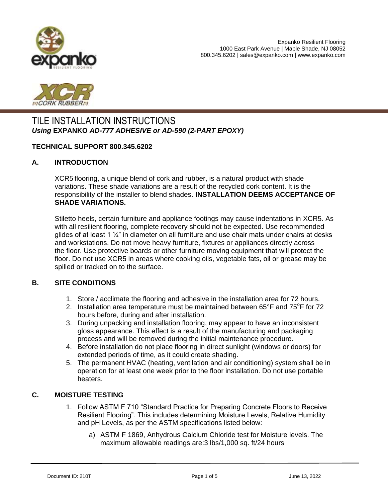



# TILE INSTALLATION INSTRUCTIONS *Using* **EXPANKO** *AD-777 ADHESIVE or AD-590 (2-PART EPOXY)*

#### **TECHNICAL SUPPORT 800.345.6202**

#### **A. INTRODUCTION**

XCR5 flooring, a unique blend of cork and rubber, is a natural product with shade variations. These shade variations are a result of the recycled cork content. It is the responsibility of the installer to blend shades. **INSTALLATION DEEMS ACCEPTANCE OF SHADE VARIATIONS.** 

Stiletto heels, certain furniture and appliance footings may cause indentations in XCR5. As with all resilient flooring, complete recovery should not be expected. Use recommended glides of at least 1  $\frac{1}{4}$ " in diameter on all furniture and use chair mats under chairs at desks and workstations. Do not move heavy furniture, fixtures or appliances directly across the floor. Use protective boards or other furniture moving equipment that will protect the floor. Do not use XCR5 in areas where cooking oils, vegetable fats, oil or grease may be spilled or tracked on to the surface.

#### **B. SITE CONDITIONS**

- 1. Store / acclimate the flooring and adhesive in the installation area for 72 hours.
- 2. Installation area temperature must be maintained between  $65^{\circ}$ F and  $75^{\circ}$ F for 72 hours before, during and after installation.
- 3. During unpacking and installation flooring, may appear to have an inconsistent gloss appearance. This effect is a result of the manufacturing and packaging process and will be removed during the initial maintenance procedure.
- 4. Before installation do not place flooring in direct sunlight (windows or doors) for extended periods of time, as it could create shading.
- 5. The permanent HVAC (heating, ventilation and air conditioning) system shall be in operation for at least one week prior to the floor installation. Do not use portable heaters.

## **C. MOISTURE TESTING**

- 1. Follow ASTM F 710 "Standard Practice for Preparing Concrete Floors to Receive Resilient Flooring". This includes determining Moisture Levels, Relative Humidity and pH Levels, as per the ASTM specifications listed below:
	- a) ASTM F 1869, Anhydrous Calcium Chloride test for Moisture levels. The maximum allowable readings are:3 lbs/1,000 sq. ft/24 hours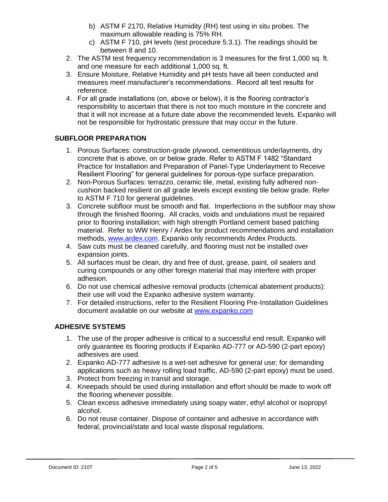- b) ASTM F 2170, Relative Humidity (RH) test using in situ probes. The maximum allowable reading is 75% RH.
- c) ASTM F 710, pH levels (test procedure 5.3.1). The readings should be between 8 and 10.
- 2. The ASTM test frequency recommendation is 3 measures for the first 1,000 sq. ft. and one measure for each additional 1,000 sq. ft.
- 3. Ensure Moisture, Relative Humidity and pH tests have all been conducted and measures meet manufacturer's recommendations. Record all test results for reference.
- 4. For all grade installations (on, above or below), it is the flooring contractor's responsibility to ascertain that there is not too much moisture in the concrete and that it will not increase at a future date above the recommended levels. Expanko will not be responsible for hydrostatic pressure that may occur in the future.

# **SUBFLOOR PREPARATION**

- 1. Porous Surfaces: construction-grade plywood, cementitious underlayments, dry concrete that is above, on or below grade. Refer to ASTM F 1482 "Standard Practice for Installation and Preparation of Panel-Type Underlayment to Receive Resilient Flooring" for general guidelines for porous-type surface preparation.
- 2. Non-Porous Surfaces: terrazzo, ceramic tile, metal, existing fully adhered noncushion backed resilient on all grade levels except existing tile below grade. Refer to ASTM F 710 for general guidelines.
- 3. Concrete subfloor must be smooth and flat. Imperfections in the subfloor may show through the finished flooring. All cracks, voids and undulations must be repaired prior to flooring installation; with high strength Portland cement based patching material. Refer to WW Henry / Ardex for product recommendations and installation methods, [www.ardex.com.](http://www.ardex.com/) Expanko only recommends Ardex Products.
- 4. Saw cuts must be cleaned carefully, and flooring must not be installed over expansion joints.
- 5. All surfaces must be clean, dry and free of dust, grease, paint, oil sealers and curing compounds or any other foreign material that may interfere with proper adhesion.
- 6. Do not use chemical adhesive removal products (chemical abatement products): their use will void the Expanko adhesive system warranty.
- 7. For detailed instructions, refer to the Resilient Flooring Pre-Installation Guidelines document available on our website at [www.expanko.com](http://www.expanko.com/)

# **ADHESIVE SYSTEMS**

- 1. The use of the proper adhesive is critical to a successful end result. Expanko will only guarantee its flooring products if Expanko AD-777 or AD-590 (2-part epoxy) adhesives are used.
- 2. Expanko AD-777 adhesive is a wet-set adhesive for general use; for demanding applications such as heavy rolling load traffic, AD-590 (2-part epoxy) must be used.
- 3. Protect from freezing in transit and storage.
- 4. Kneepads should be used during installation and effort should be made to work off the flooring whenever possible.
- 5. Clean excess adhesive immediately using soapy water, ethyl alcohol or isopropyl alcohol.
- 6. Do not reuse container. Dispose of container and adhesive in accordance with federal, provincial/state and local waste disposal regulations.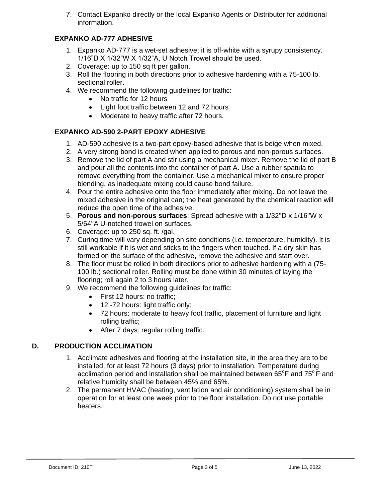7. Contact Expanko directly or the local Expanko Agents or Distributor for additional information.

# **EXPANKO AD-777 ADHESIVE**

- 1. Expanko AD-777 is a wet-set adhesive; it is off-white with a syrupy consistency. 1/16"D X 1/32"W X 1/32"A, U Notch Trowel should be used.
- 2. Coverage: up to 150 sq ft per gallon.
- 3. Roll the flooring in both directions prior to adhesive hardening with a 75-100 lb. sectional roller.
- 4. We recommend the following guidelines for traffic:
	- No traffic for 12 hours
	- Light foot traffic between 12 and 72 hours
	- Moderate to heavy traffic after 72 hours.

## **EXPANKO AD-590 2-PART EPOXY ADHESIVE**

- 1. AD-590 adhesive is a two-part epoxy-based adhesive that is beige when mixed.
- 2. A very strong bond is created when applied to porous and non-porous surfaces.
- 3. Remove the lid of part A and stir using a mechanical mixer. Remove the lid of part B and pour all the contents into the container of part A. Use a rubber spatula to remove everything from the container. Use a mechanical mixer to ensure proper blending, as inadequate mixing could cause bond failure.
- 4. Pour the entire adhesive onto the floor immediately after mixing. Do not leave the mixed adhesive in the original can; the heat generated by the chemical reaction will reduce the open time of the adhesive.
- 5. **Porous and non-porous surfaces**: Spread adhesive with a 1/32''D x 1/16''W x 5/64''A U-notched trowel on surfaces.
- 6. Coverage: up to 250 sq. ft. /gal.
- 7. Curing time will vary depending on site conditions (i.e. temperature, humidity). It is still workable if it is wet and sticks to the fingers when touched. If a dry skin has formed on the surface of the adhesive, remove the adhesive and start over.
- 8. The floor must be rolled in both directions prior to adhesive hardening with a (75- 100 lb.) sectional roller. Rolling must be done within 30 minutes of laying the flooring; roll again 2 to 3 hours later.
- 9. We recommend the following guidelines for traffic:
	- First 12 hours: no traffic;
	- 12 -72 hours: light traffic only;
	- 72 hours: moderate to heavy foot traffic, placement of furniture and light rolling traffic;
	- After 7 days: regular rolling traffic.

# **D. PRODUCTION ACCLIMATION**

- 1. Acclimate adhesives and flooring at the installation site, in the area they are to be installed, for at least 72 hours (3 days) prior to installation. Temperature during acclimation period and installation shall be maintained between  $65^{\circ}$ F and  $75^{\circ}$ F and relative humidity shall be between 45% and 65%.
- 2. The permanent HVAC (heating, ventilation and air conditioning) system shall be in operation for at least one week prior to the floor installation. Do not use portable heaters.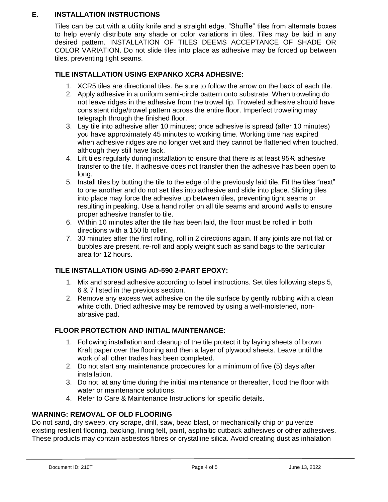## **E. INSTALLATION INSTRUCTIONS**

Tiles can be cut with a utility knife and a straight edge. "Shuffle" tiles from alternate boxes to help evenly distribute any shade or color variations in tiles. Tiles may be laid in any desired pattern. INSTALLATION OF TILES DEEMS ACCEPTANCE OF SHADE OR COLOR VARIATION. Do not slide tiles into place as adhesive may be forced up between tiles, preventing tight seams.

## **TILE INSTALLATION USING EXPANKO XCR4 ADHESIVE:**

- 1. XCR5 tiles are directional tiles. Be sure to follow the arrow on the back of each tile.
- 2. Apply adhesive in a uniform semi-circle pattern onto substrate. When troweling do not leave ridges in the adhesive from the trowel tip. Troweled adhesive should have consistent ridge/trowel pattern across the entire floor. Imperfect troweling may telegraph through the finished floor.
- 3. Lay tile into adhesive after 10 minutes; once adhesive is spread (after 10 minutes) you have approximately 45 minutes to working time. Working time has expired when adhesive ridges are no longer wet and they cannot be flattened when touched, although they still have tack.
- 4. Lift tiles regularly during installation to ensure that there is at least 95% adhesive transfer to the tile. If adhesive does not transfer then the adhesive has been open to long.
- 5. Install tiles by butting the tile to the edge of the previously laid tile. Fit the tiles "next" to one another and do not set tiles into adhesive and slide into place. Sliding tiles into place may force the adhesive up between tiles, preventing tight seams or resulting in peaking. Use a hand roller on all tile seams and around walls to ensure proper adhesive transfer to tile.
- 6. Within 10 minutes after the tile has been laid, the floor must be rolled in both directions with a 150 lb roller.
- 7. 30 minutes after the first rolling, roll in 2 directions again. If any joints are not flat or bubbles are present, re-roll and apply weight such as sand bags to the particular area for 12 hours.

#### **TILE INSTALLATION USING AD-590 2-PART EPOXY:**

- 1. Mix and spread adhesive according to label instructions. Set tiles following steps 5, 6 & 7 listed in the previous section.
- 2. Remove any excess wet adhesive on the tile surface by gently rubbing with a clean white cloth. Dried adhesive may be removed by using a well-moistened, nonabrasive pad.

#### **FLOOR PROTECTION AND INITIAL MAINTENANCE:**

- 1. Following installation and cleanup of the tile protect it by laying sheets of brown Kraft paper over the flooring and then a layer of plywood sheets. Leave until the work of all other trades has been completed.
- 2. Do not start any maintenance procedures for a minimum of five (5) days after installation.
- 3. Do not, at any time during the initial maintenance or thereafter, flood the floor with water or maintenance solutions.
- 4. Refer to Care & Maintenance Instructions for specific details.

#### **WARNING: REMOVAL OF OLD FLOORING**

Do not sand, dry sweep, dry scrape, drill, saw, bead blast, or mechanically chip or pulverize existing resilient flooring, backing, lining felt, paint, asphaltic cutback adhesives or other adhesives. These products may contain asbestos fibres or crystalline silica. Avoid creating dust as inhalation